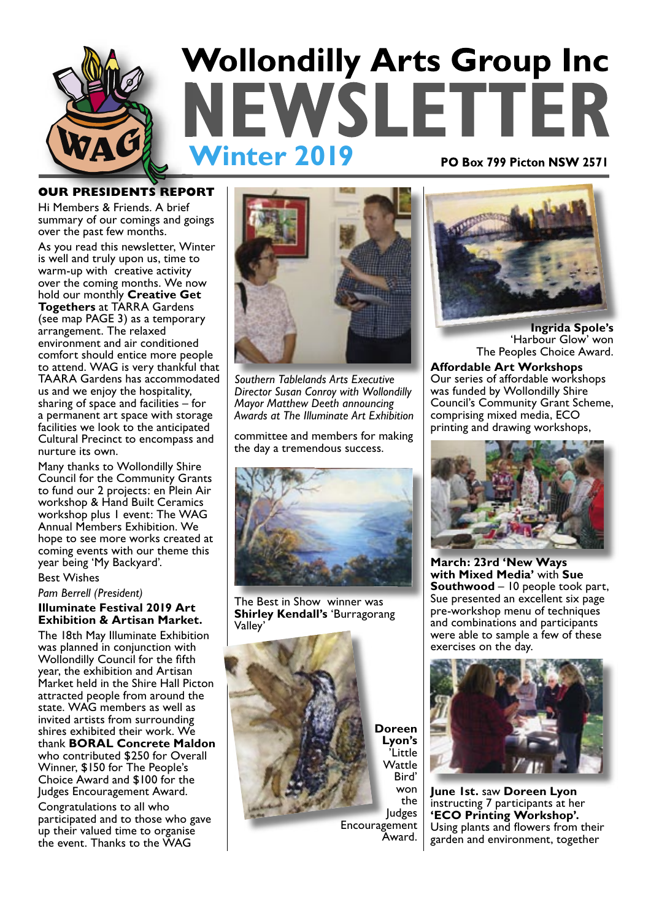

### **OUR PRESIDENTS REPORT**

Hi Members & Friends. A brief summary of our comings and goings over the past few months.

As you read this newsletter, Winter is well and truly upon us, time to warm-up with creative activity over the coming months. We now hold our monthly **Creative Get Togethers** at TARRA Gardens (see map PAGE 3) as a temporary arrangement. The relaxed environment and air conditioned comfort should entice more people to attend. WAG is very thankful that TAARA Gardens has accommodated us and we enjoy the hospitality, sharing of space and facilities  $-$  for a permanent art space with storage facilities we look to the anticipated Cultural Precinct to encompass and nurture its own.

Many thanks to Wollondilly Shire Council for the Community Grants to fund our 2 projects: en Plein Air workshop & Hand Built Ceramics workshop plus 1 event: The WAG Annual Members Exhibition. We hope to see more works created at coming events with our theme this year being 'My Backyard'.

Best Wishes

#### *Pam Berrell (President)*

**Illuminate Festival 2019 Art Exhibition & Artisan Market.**

The 18th May Illuminate Exhibition was planned in conjunction with Wollondilly Council for the fifth year, the exhibition and Artisan Market held in the Shire Hall Picton attracted people from around the state. WAG members as well as invited artists from surrounding shires exhibited their work. We thank **BORAL Concrete Maldon** who contributed \$250 for Overall Winner, \$150 for The People's Choice Award and \$100 for the Judges Encouragement Award.

Congratulations to all who participated and to those who gave up their valued time to organise the event. Thanks to the WAG



*Southern Tablelands Arts Executive Director Susan Conroy with Wollondilly Mayor Matthew Deeth announcing Awards at The Illuminate Art Exhibition*

committee and members for making the day a tremendous success.



The Best in Show winner was **Shirley Kendall's** 'Burragorang Valley'



**Doreen Lyon's**  'Little Wattle Bird' won the Judges

Encouragement Award.



**Ingrida Spole's** 'Harbour Glow' won The Peoples Choice Award.

**Affordable Art Workshops** Our series of affordable workshops was funded by Wollondilly Shire Council's Community Grant Scheme, comprising mixed media, ECO printing and drawing workshops,



**March: 23rd 'New Ways with Mixed Media'** with **Sue Southwood** – 10 people took part, Sue presented an excellent six page pre-workshop menu of techniques and combinations and participants were able to sample a few of these exercises on the day.



**June 1st.** saw **Doreen Lyon** instructing 7 participants at her **'ECO Printing Workshop'.** Using plants and flowers from their garden and environment, together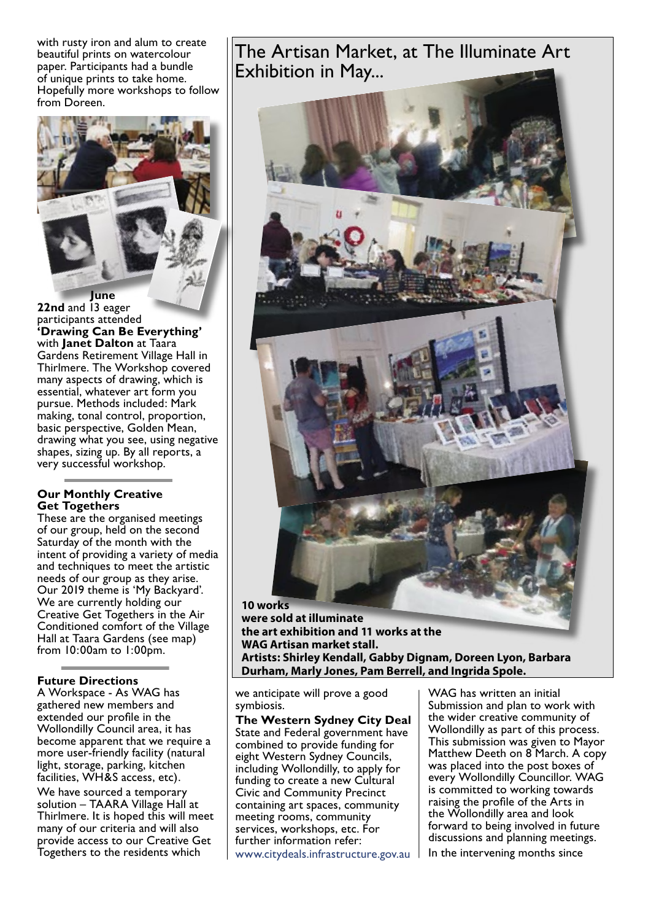with rusty iron and alum to create beautiful prints on watercolour paper. Participants had a bundle of unique prints to take home. Hopefully more workshops to follow from Doreen.



22nd and 13 eager participants attended **'Drawing Can Be Everything'** with **Janet Dalton** at Taara Gardens Retirement Village Hall in

Thirlmere. The Workshop covered many aspects of drawing, which is essential, whatever art form you pursue. Methods included: Mark making, tonal control, proportion, basic perspective, Golden Mean, drawing what you see, using negative shapes, sizing up. By all reports, a very successful workshop.

### **Our Monthly Creative Get Togethers**

These are the organised meetings of our group, held on the second Saturday of the month with the intent of providing a variety of media and techniques to meet the artistic needs of our group as they arise. Our 2019 theme is 'My Backyard'. We are currently holding our Creative Get Togethers in the Air Conditioned comfort of the Village Hall at Taara Gardens (see map) from 10:00am to 1:00pm.

### **Future Directions**

A Workspace - As WAG has gathered new members and extended our profile in the Wollondilly Council area, it has become apparent that we require a more user-friendly facility (natural light, storage, parking, kitchen facilities, WH&S access, etc).

We have sourced a temporary solution – TAARA Village Hall at Thirlmere. It is hoped this will meet many of our criteria and will also provide access to our Creative Get Togethers to the residents which

The Artisan Market, at The Illuminate Art Exhibition in May...



**were sold at illuminate the art exhibition and 11 works at the WAG Artisan market stall. Artists: Shirley Kendall, Gabby Dignam, Doreen Lyon, Barbara Durham, Marly Jones, Pam Berrell, and Ingrida Spole.**

we anticipate will prove a good symbiosis.

**The Western Sydney City Deal**  State and Federal government have combined to provide funding for eight Western Sydney Councils, including Wollondilly, to apply for funding to create a new Cultural Civic and Community Precinct containing art spaces, community meeting rooms, community services, workshops, etc. For further information refer: www.citydeals.infrastructure.gov.au

WAG has written an initial Submission and plan to work with the wider creative community of Wollondilly as part of this process. This submission was given to Mayor Matthew Deeth on 8 March. A copy was placed into the post boxes of every Wollondilly Councillor. WAG is committed to working towards raising the profile of the Arts in the Wollondilly area and look forward to being involved in future discussions and planning meetings. In the intervening months since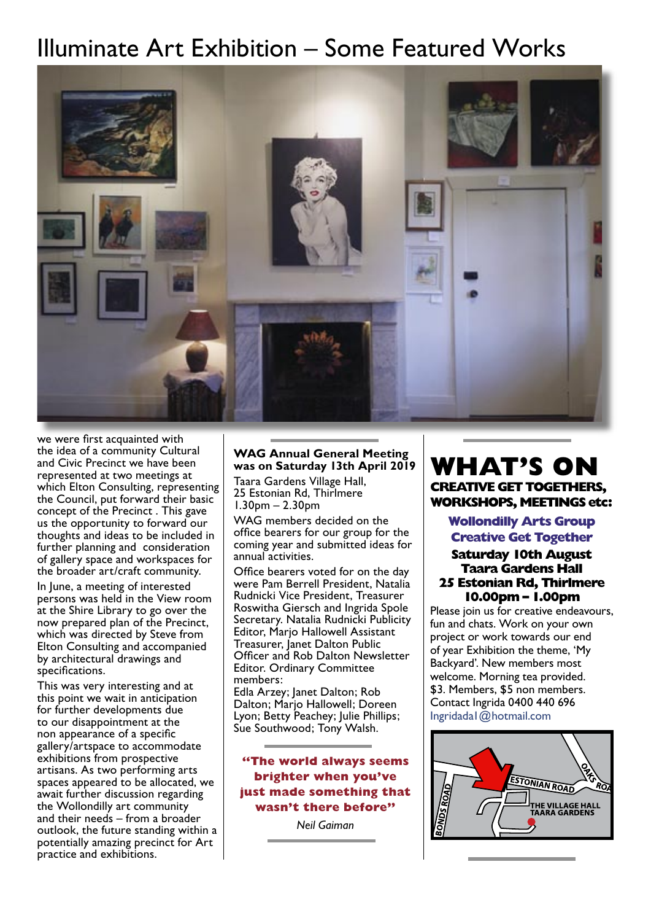# Illuminate Art Exhibition – Some Featured Works



we were first acquainted with the idea of a community Cultural and Civic Precinct we have been represented at two meetings at which Elton Consulting, representing the Council, put forward their basic concept of the Precinct . This gave us the opportunity to forward our thoughts and ideas to be included in further planning and consideration of gallery space and workspaces for the broader art/craft community.

In June, a meeting of interested persons was held in the View room at the Shire Library to go over the now prepared plan of the Precinct, which was directed by Steve from Elton Consulting and accompanied by architectural drawings and specifications.

This was very interesting and at this point we wait in anticipation for further developments due to our disappointment at the non appearance of a specific gallery/artspace to accommodate exhibitions from prospective artisans. As two performing arts spaces appeared to be allocated, we await further discussion regarding the Wollondilly art community and their needs – from a broader outlook, the future standing within a potentially amazing precinct for Art practice and exhibitions.

### **WAG Annual General Meeting was on Saturday 13th April 2019**

Taara Gardens Village Hall, 25 Estonian Rd, Thirlmere 1.30pm – 2.30pm

WAG members decided on the office bearers for our group for the coming year and submitted ideas for annual activities.

Office bearers voted for on the day were Pam Berrell President, Natalia Rudnicki Vice President, Treasurer Roswitha Giersch and Ingrida Spole Secretary. Natalia Rudnicki Publicity Editor, Marjo Hallowell Assistant Treasurer, Janet Dalton Public Officer and Rob Dalton Newsletter Editor. Ordinary Committee members:

Edla Arzey; Janet Dalton; Rob Dalton; Marjo Hallowell; Doreen Lyon; Betty Peachey; Julie Phillips; Sue Southwood; Tony Walsh.

**"The world always seems brighter when you've just made something that wasn't there before"**

*Neil Gaiman* 

## **WHAT'S ON CREATIVE GET TOGETHERS, WORKSHOPS, MEETINGS etc:**

**Wollondilly Arts Group Creative Get Together**

### **Saturday 10th August Taara Gardens Hall 25 Estonian Rd, Thirlmere 10.00pm – 1.00pm**

Please join us for creative endeavours, fun and chats. Work on your own project or work towards our end of year Exhibition the theme, 'My Backyard'. New members most welcome. Morning tea provided. \$3. Members, \$5 non members. Contact Ingrida 0400 440 696 Ingridada1@hotmail.com